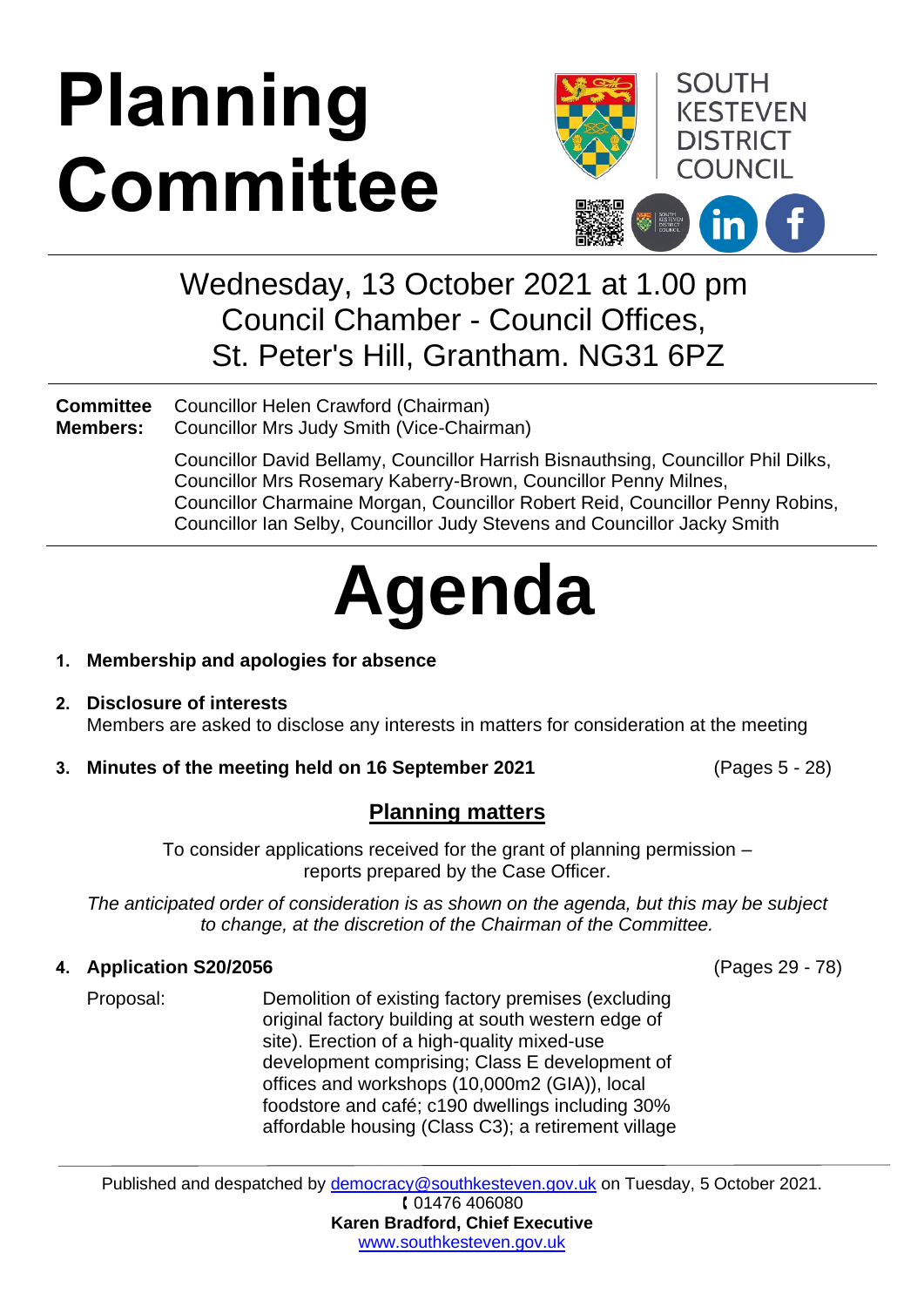# **Planning Committee**



### Wednesday, 13 October 2021 at 1.00 pm Council Chamber - Council Offices, St. Peter's Hill, Grantham. NG31 6PZ

**Committee Members:** Councillor Helen Crawford (Chairman) Councillor Mrs Judy Smith (Vice-Chairman)

> Councillor David Bellamy, Councillor Harrish Bisnauthsing, Councillor Phil Dilks, Councillor Mrs Rosemary Kaberry-Brown, Councillor Penny Milnes, Councillor Charmaine Morgan, Councillor Robert Reid, Councillor Penny Robins, Councillor Ian Selby, Councillor Judy Stevens and Councillor Jacky Smith

## **Agenda**

#### **1. Membership and apologies for absence**

- **2. Disclosure of interests** Members are asked to disclose any interests in matters for consideration at the meeting
- **3. Minutes of the meeting held on 16 September 2021** (Pages 5 28)

#### **Planning matters**

To consider applications received for the grant of planning permission – reports prepared by the Case Officer.

*The anticipated order of consideration is as shown on the agenda, but this may be subject to change, at the discretion of the Chairman of the Committee.*

#### **4. Application S20/2056**

Proposal: Demolition of existing factory premises (excluding original factory building at south western edge of site). Erection of a high-quality mixed-use development comprising; Class E development of offices and workshops (10,000m2 (GIA)), local foodstore and café; c190 dwellings including 30% affordable housing (Class C3); a retirement village

Published and despatched by [democracy@southkesteven.gov.uk](mailto:democracy@southkesteven.gov.uk) on Tuesday, 5 October 2021. 01476 406080

**Karen Bradford, Chief Executive** [www.southkesteven.gov.uk](http://www.southkesteven.gov.uk/)

(Pages 29 - 78)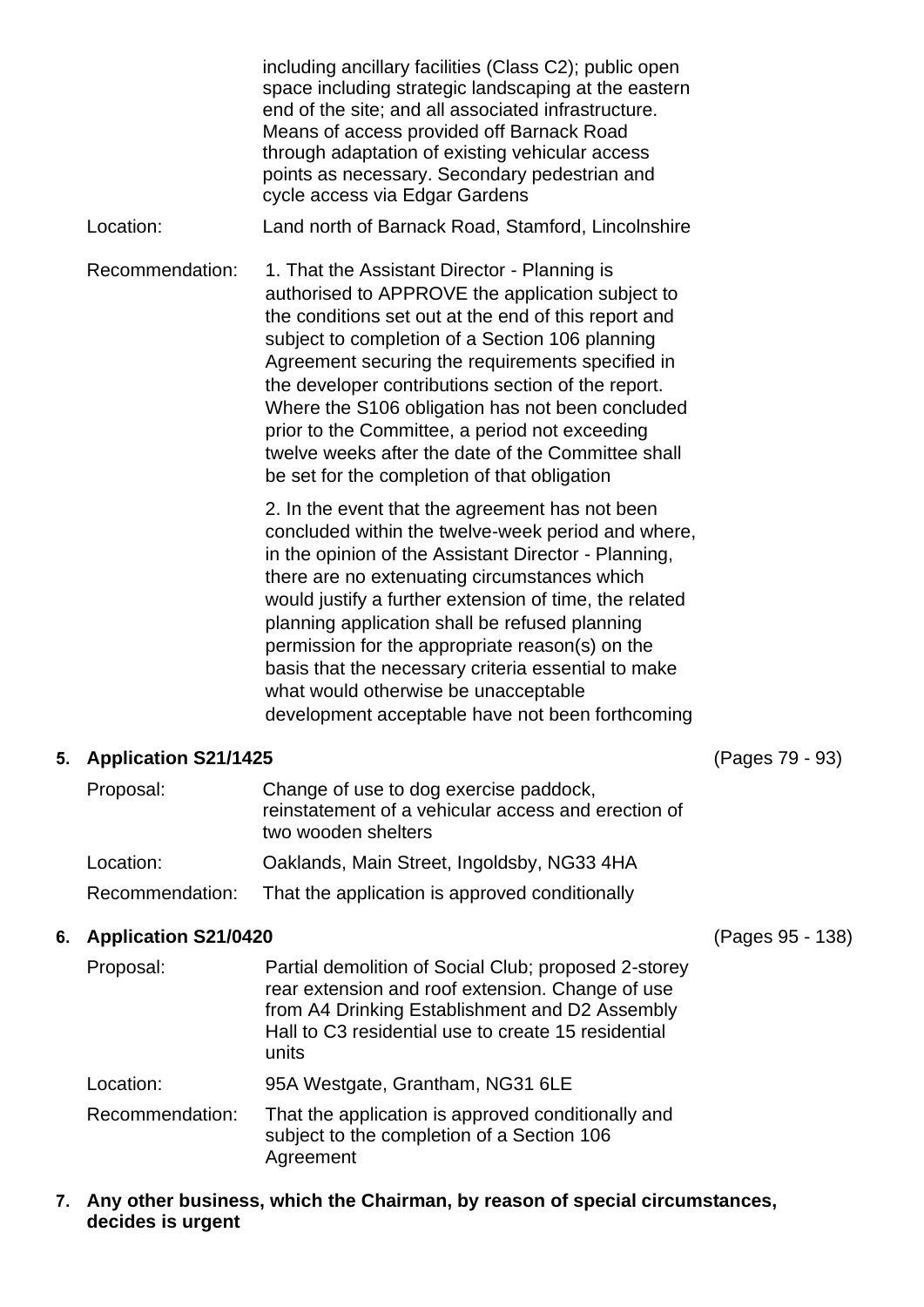including ancillary facilities (Class C2); public open space including strategic landscaping at the eastern end of the site; and all associated infrastructure. Means of access provided off Barnack Road through adaptation of existing vehicular access points as necessary. Secondary pedestrian and cycle access via Edgar Gardens Location: Land north of Barnack Road, Stamford, Lincolnshire Recommendation: 1. That the Assistant Director - Planning is authorised to APPROVE the application subject to the conditions set out at the end of this report and subject to completion of a Section 106 planning Agreement securing the requirements specified in the developer contributions section of the report. Where the S106 obligation has not been concluded prior to the Committee, a period not exceeding twelve weeks after the date of the Committee shall be set for the completion of that obligation 2. In the event that the agreement has not been

concluded within the twelve-week period and where, in the opinion of the Assistant Director - Planning, there are no extenuating circumstances which would justify a further extension of time, the related planning application shall be refused planning permission for the appropriate reason(s) on the basis that the necessary criteria essential to make what would otherwise be unacceptable development acceptable have not been forthcoming

#### **5. Application S21/1425**

(Pages 79 - 93)

| Proposal:       | Change of use to dog exercise paddock,<br>reinstatement of a vehicular access and erection of<br>two wooden shelters |
|-----------------|----------------------------------------------------------------------------------------------------------------------|
| Location:       | Oaklands, Main Street, Ingoldsby, NG33 4HA                                                                           |
| Recommendation: | That the application is approved conditionally                                                                       |

#### **6. Application S21/0420**

| <b>Application S21/0420</b> |                                                                                                                                                                                                                            | (Pages 95 - 138) |
|-----------------------------|----------------------------------------------------------------------------------------------------------------------------------------------------------------------------------------------------------------------------|------------------|
| Proposal:                   | Partial demolition of Social Club; proposed 2-storey<br>rear extension and roof extension. Change of use<br>from A4 Drinking Establishment and D2 Assembly<br>Hall to C3 residential use to create 15 residential<br>units |                  |
| Location:                   | 95A Westgate, Grantham, NG31 6LE                                                                                                                                                                                           |                  |
| Recommendation:             | That the application is approved conditionally and<br>subject to the completion of a Section 106                                                                                                                           |                  |

**7. Any other business, which the Chairman, by reason of special circumstances, decides is urgent**

Agreement